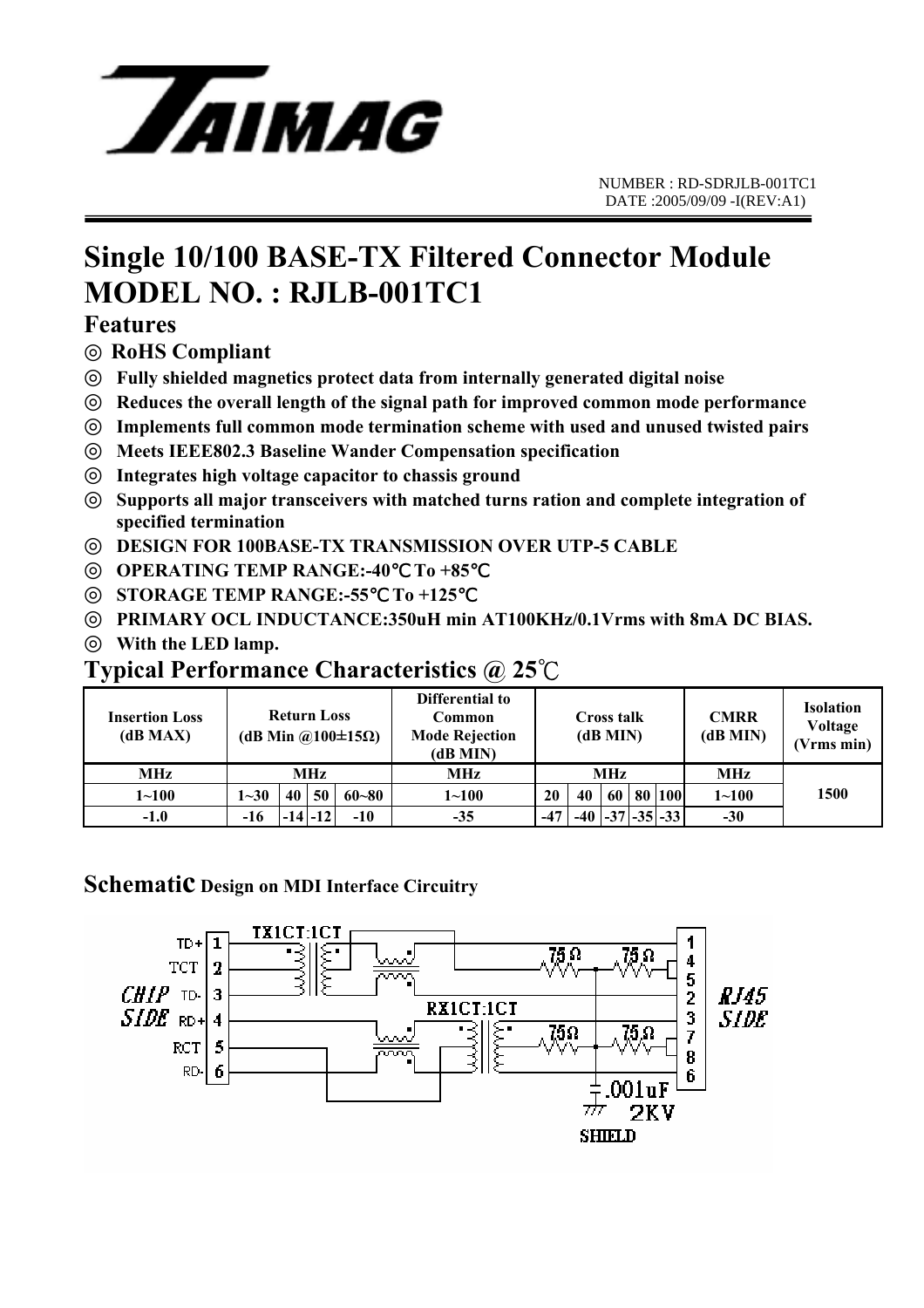

## **Single 10/100 BASE-TX Filtered Connector Module MODEL NO. : RJLB-001TC1**

### **Features**

**RoHS Compliant**

**Fully shielded magnetics protect data from internally generated digital noise** 

**Reduces the overall length of the signal path for improved common mode performance** 

**Implements full common mode termination scheme with used and unused twisted pairs** 

**Meets IEEE802.3 Baseline Wander Compensation specification** 

**Integrates high voltage capacitor to chassis ground** 

**Supports all major transceivers with matched turns ration and complete integration of specified termination** 

**DESIGN FOR 100BASE-TX TRANSMISSION OVER UTP-5 CABLE** 

**OPERATING TEMP RANGE:-40 To +85** 

**STORAGE TEMP RANGE:-55**℃ **To +125** ℃

**PRIMARY OCL INDUCTANCE:350uH min AT100KHz/0.1Vrms with 8mA DC BIAS. With the LED lamp.**

## **Typical Performance Characteristics @ 25**℃

| <b>Insertion Loss</b><br>(dB MAX) | <b>Return Loss</b><br>(dB Min @100 $\pm$ 15 $\Omega$ ) |             |    |           | Differential to<br>Common<br><b>Mode Rejection</b><br>(dB MIN) | <b>Cross talk</b><br>(dB MIN) |     |    |    | <b>CMRR</b><br>(dB MIN) | <b>Isolation</b><br>Voltage<br>(Vrms min) |      |
|-----------------------------------|--------------------------------------------------------|-------------|----|-----------|----------------------------------------------------------------|-------------------------------|-----|----|----|-------------------------|-------------------------------------------|------|
| <b>MHz</b>                        | MHz                                                    |             |    |           | MHz                                                            | <b>MHz</b>                    |     |    |    |                         | <b>MHz</b>                                |      |
| $1 - 100$                         | $1 - 30$                                               | 40          | 50 | $60 - 80$ | $1 - 100$                                                      | 20                            | 40  | 60 | 80 | 100                     | $1 - 100$                                 | 1500 |
| $-1.0$                            | $-16$                                                  | $-14$ $-12$ |    | $-10$     | $-35$                                                          | $-47$                         | -40 |    |    | -37 - 35 - 33           | $-30$                                     |      |

### **Schematic Design on MDI Interface Circuitry**

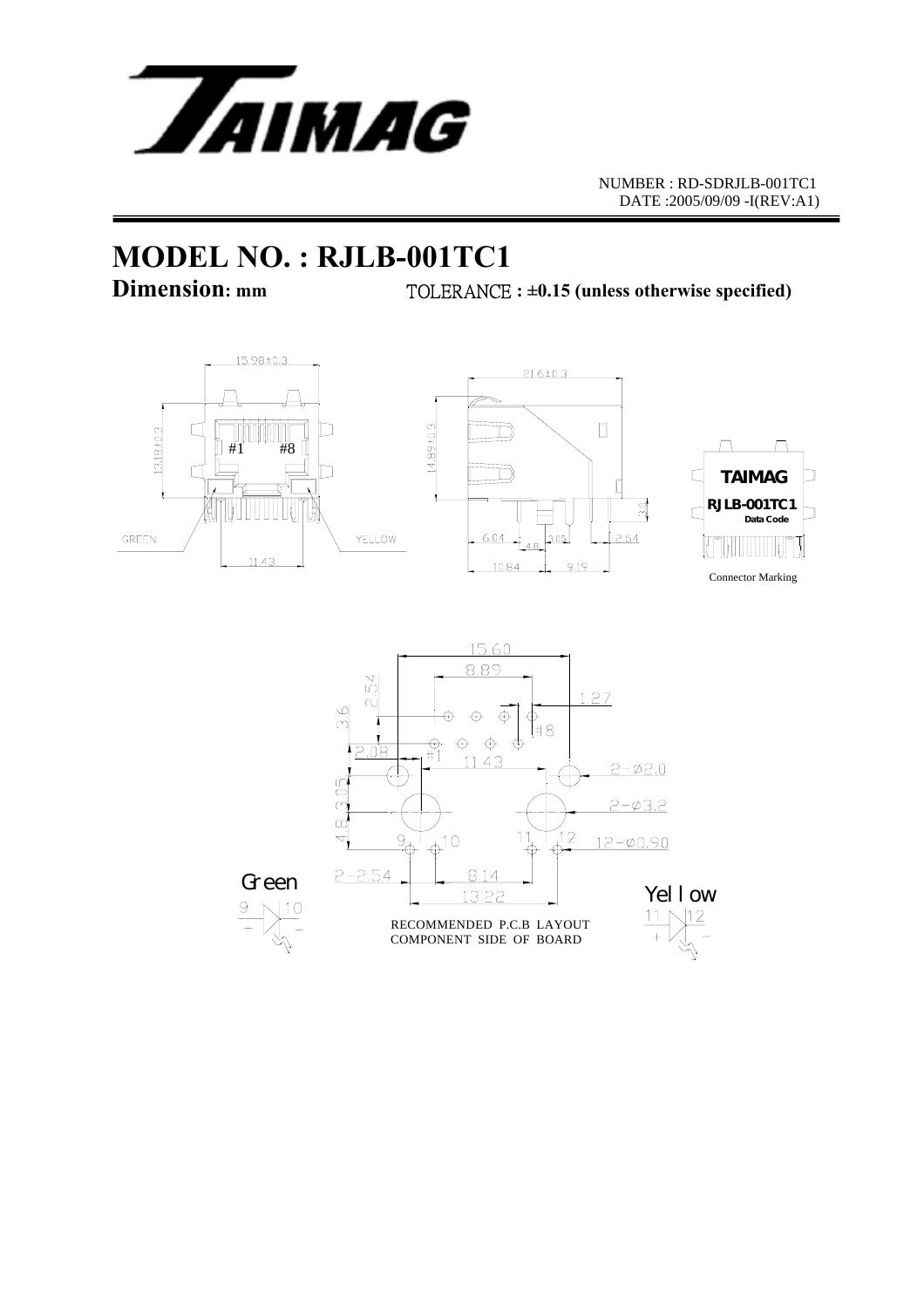

NUMBER : RD-SDRJLB-001TC1 DATE :2005/09/09 -I(REV:A1)

# **MODEL NO. : RJLB-001TC1**

**Dimension: mm** TOLERANCE **: ±0.15 (unless otherwise specified)** 



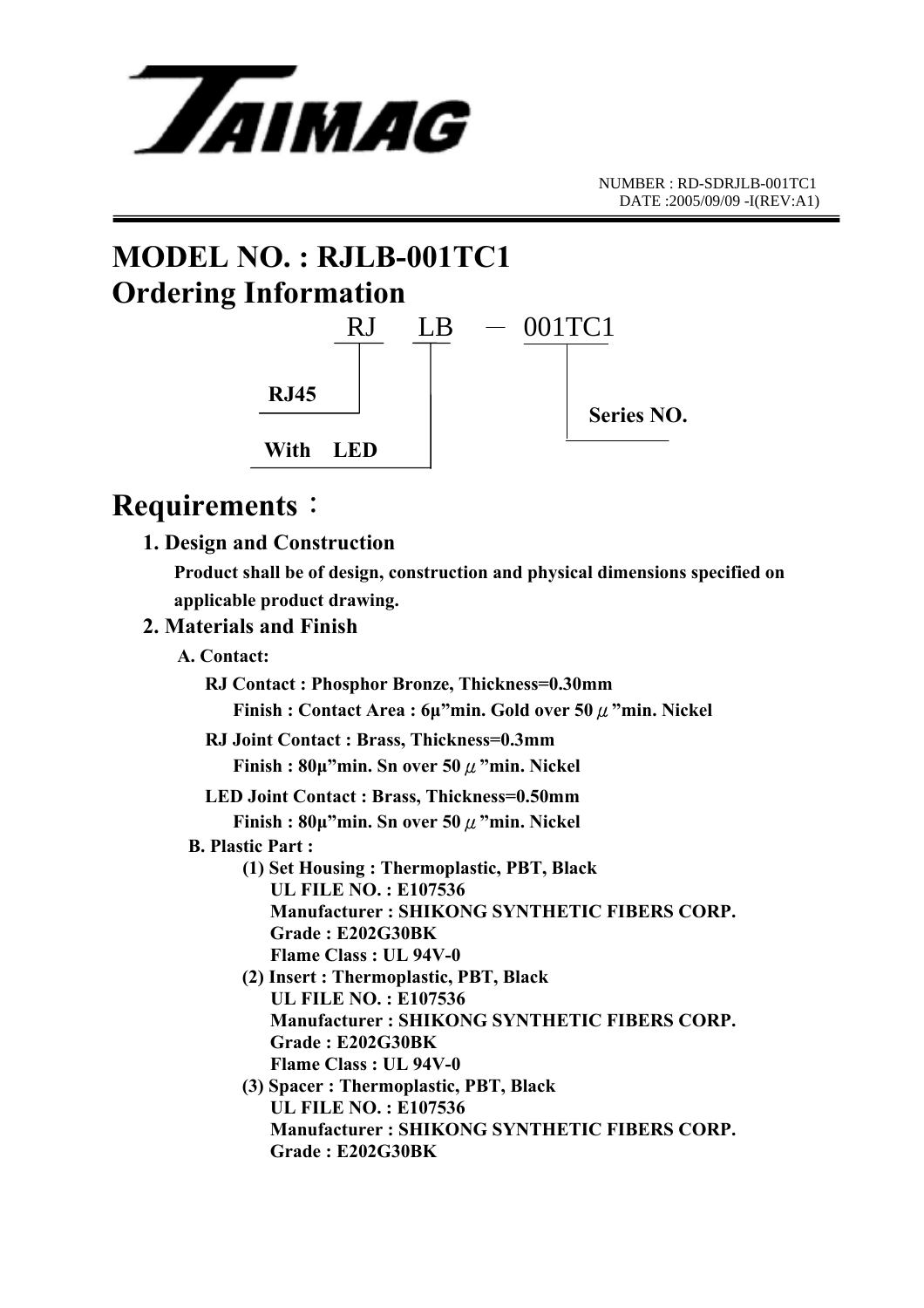

# **MODEL NO. : RJLB-001TC1 Ordering Information**



## **Requirements**:

 **1. Design and Construction** 

 **Product shall be of design, construction and physical dimensions specified on applicable product drawing.** 

#### **2. Materials and Finish**

- **A. Contact:** 
	- **RJ Contact : Phosphor Bronze, Thickness=0.30mm Finish : Contact Area : 6µ"min. Gold over 50**μ**"min. Nickel**
	- **RJ Joint Contact : Brass, Thickness=0.3mm Finish : 80µ"min. Sn over 50**μ**"min. Nickel**
	- **LED Joint Contact : Brass, Thickness=0.50mm Finish : 80µ"min. Sn over 50**μ**"min. Nickel**
	- **B. Plastic Part :** 
		- **(1) Set Housing : Thermoplastic, PBT, Black UL FILE NO. : E107536 Manufacturer : SHIKONG SYNTHETIC FIBERS CORP. Grade : E202G30BK Flame Class : UL 94V-0**
		- **(2) Insert : Thermoplastic, PBT, Black UL FILE NO. : E107536 Manufacturer : SHIKONG SYNTHETIC FIBERS CORP. Grade : E202G30BK Flame Class : UL 94V-0**
		- **(3) Spacer : Thermoplastic, PBT, Black UL FILE NO. : E107536 Manufacturer : SHIKONG SYNTHETIC FIBERS CORP. Grade : E202G30BK**